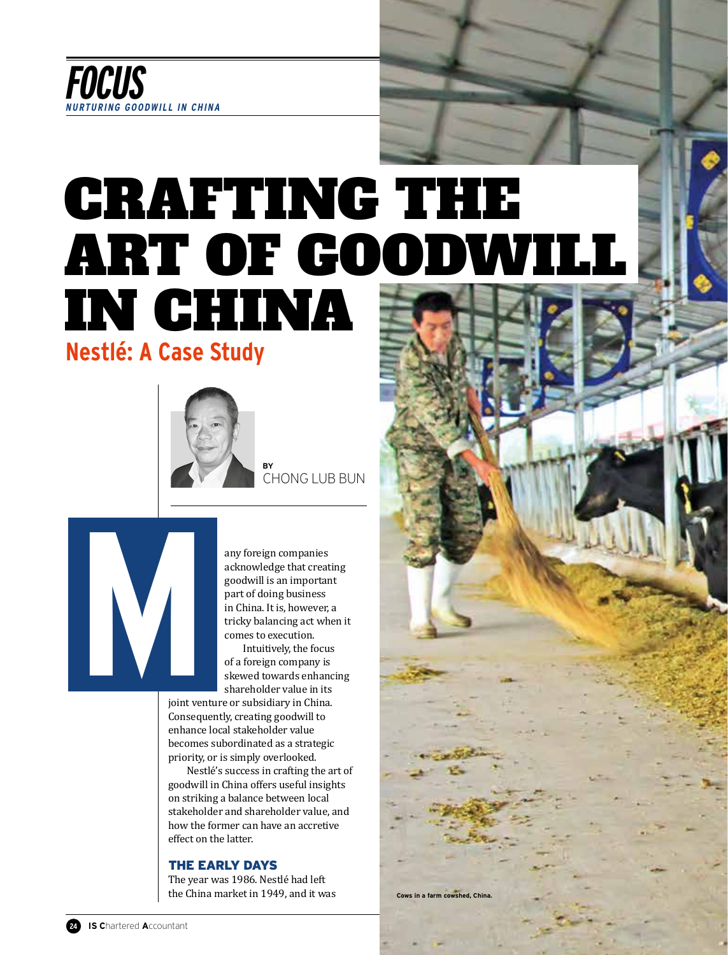

# CRAFTING THE ART OF GOODWILL IN CHINA

## **Nestlé: A Case Study**



**BY**  CHONG LUB BUN

any foreign companies acknowledge that creating goodwill is an important part of doing business in China. It is, however, a tricky balancing act when it comes to execution.

Intuitively, the focus of a foreign company is skewed towards enhancing shareholder value in its

**M**<br>Delta<br>Delta<br>Delta<br>Delta<br>Delta<br>Delta<br>Delta<br>Delta<br>Delta<br>Delta<br>Delta<br>Delta<br>Delta<br>Delta<br>Delta<br>Delta<br>Delta<br>Delta<br>Delta<br>Delta<br>Delta<br>Delta<br>Delta<br>Delta<br>Delta<br>Delta<br>Delta<br>D joint venture or subsidiary in China. Consequently, creating goodwill to enhance local stakeholder value becomes subordinated as a strategic priority, or is simply overlooked.

Nestlé's success in crafting the art of goodwill in China offers useful insights on striking a balance between local stakeholder and shareholder value, and how the former can have an accretive effect on the latter.

#### THE EARLY DAYS

The year was 1986. Nestlé had left the China market in 1949, and it was **Cows** in a farm cowshed, China

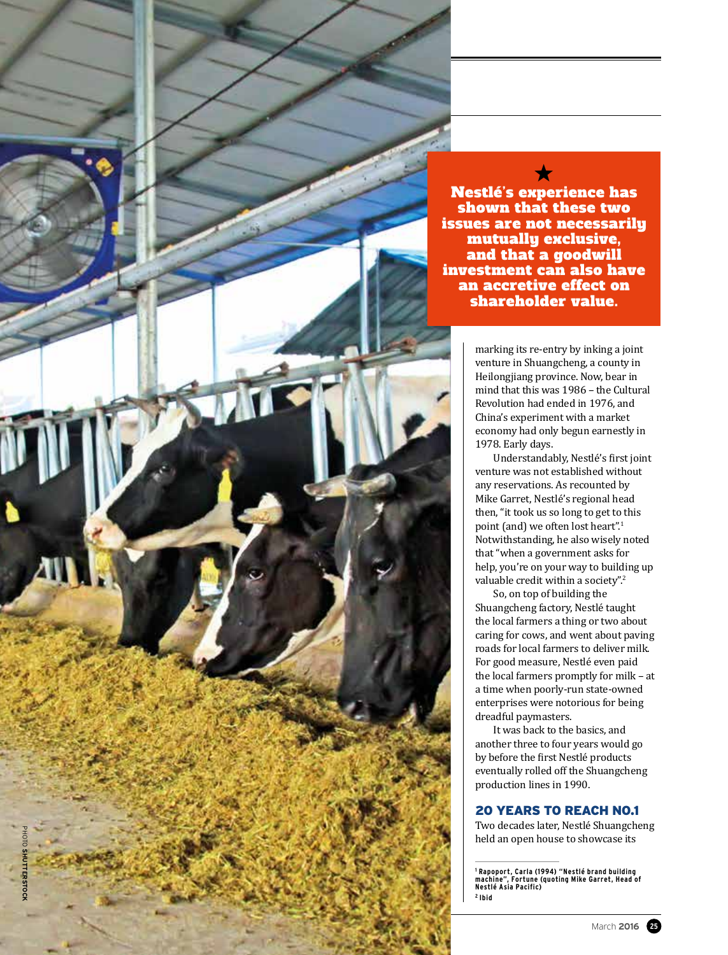

 $\bigstar$ Nestlé's experience has shown that these two issues are not necessarily mutually exclusive, and that a goodwill investment can also have an accretive effect on shareholder value.

> marking its re-entry by inking a joint venture in Shuangcheng, a county in Heilongjiang province. Now, bear in mind that this was 1986 – the Cultural Revolution had ended in 1976, and China's experiment with a market economy had only begun earnestly in 1978. Early days.

Understandably, Nestlé's first joint venture was not established without any reservations. As recounted by Mike Garret, Nestlé's regional head then, "it took us so long to get to this point (and) we often lost heart". 1 Notwithstanding, he also wisely noted that "when a government asks for help, you're on your way to building up valuable credit within a society". 2

So, on top of building the Shuangcheng factory, Nestlé taught the local farmers a thing or two about caring for cows, and went about paving roads for local farmers to deliver milk. For good measure, Nestlé even paid the local farmers promptly for milk – at a time when poorly-run state-owned enterprises were notorious for being dreadful paymasters.

It was back to the basics, and another three to four years would go by before the first Nestlé products eventually rolled off the Shuangcheng production lines in 1990.

### 20 YEARS TO REACH NO.1

Two decades later, Nestlé Shuangcheng held an open house to showcase its

**<sup>1</sup> Rapoport, Carla (1994) "Nestlé brand building machine", Fortune (quoting Mike Garret, Head of Nestlé Asia Pacific) 2 Ibid**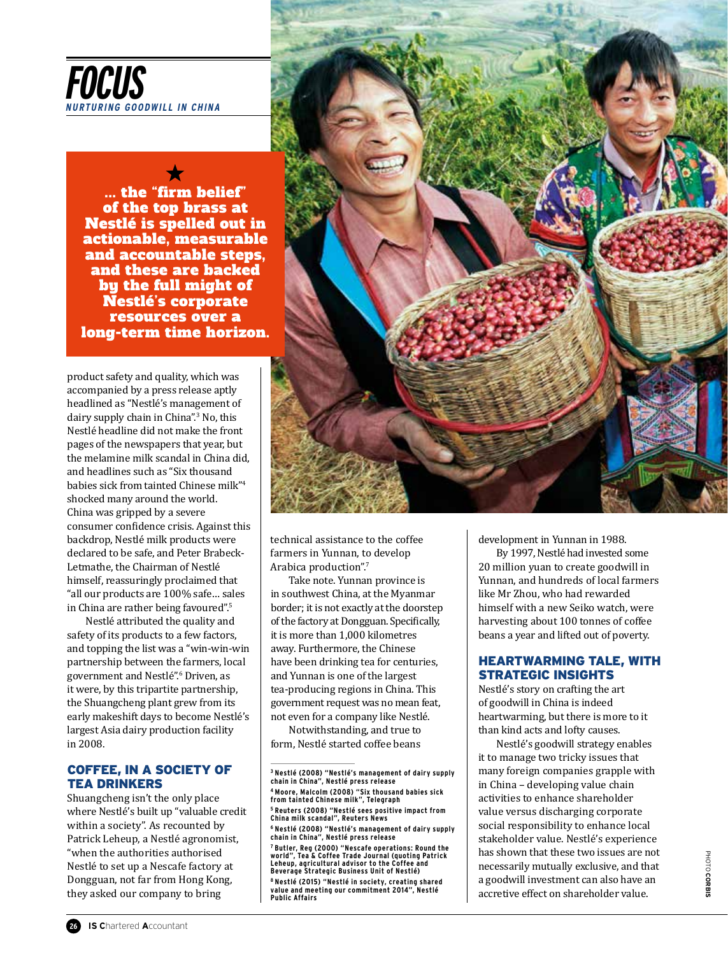

 $\bigstar$ ... the "firm belief" of the top brass at Nestlé is spelled out in actionable, measurable and accountable steps, and these are backed by the full might of Nestlé's corporate resources over a long-term time horizon.

product safety and quality, which was accompanied by a press release aptly headlined as "Nestlé's management of dairy supply chain in China".3 No, this Nestlé headline did not make the front pages of the newspapers that year, but the melamine milk scandal in China did, and headlines such as "Six thousand babies sick from tainted Chinese milk"4 shocked many around the world. China was gripped by a severe consumer confidence crisis. Against this backdrop, Nestlé milk products were declared to be safe, and Peter Brabeck-Letmathe, the Chairman of Nestlé himself, reassuringly proclaimed that "all our products are 100% safe… sales in China are rather being favoured".5

Nestlé attributed the quality and safety of its products to a few factors, and topping the list was a "win-win-win partnership between the farmers, local government and Nestlé".6 Driven, as it were, by this tripartite partnership, the Shuangcheng plant grew from its early makeshift days to become Nestlé's largest Asia dairy production facility in 2008.

#### COFFEE, IN A SOCIETY OF TEA DRINKERS

Shuangcheng isn't the only place where Nestlé's built up "valuable credit within a society". As recounted by Patrick Leheup, a Nestlé agronomist, "when the authorities authorised Nestlé to set up a Nescafe factory at Dongguan, not far from Hong Kong, they asked our company to bring



technical assistance to the coffee farmers in Yunnan, to develop Arabica production".7

Take note. Yunnan province is in southwest China, at the Myanmar border; it is not exactly at the doorstep of the factory at Dongguan. Specifically, it is more than 1,000 kilometres away. Furthermore, the Chinese have been drinking tea for centuries, and Yunnan is one of the largest tea-producing regions in China. This government request was no mean feat, not even for a company like Nestlé.

Notwithstanding, and true to form, Nestlé started coffee beans development in Yunnan in 1988.

By 1997, Nestlé had invested some 20 million yuan to create goodwill in Yunnan, and hundreds of local farmers like Mr Zhou, who had rewarded himself with a new Seiko watch, were harvesting about 100 tonnes of coffee beans a year and lifted out of poverty.

#### HEARTWARMING TALE, WITH STRATEGIC INSIGHTS

Nestlé's story on crafting the art of goodwill in China is indeed heartwarming, but there is more to it than kind acts and lofty causes.

Nestlé's goodwill strategy enables it to manage two tricky issues that many foreign companies grapple with in China – developing value chain activities to enhance shareholder value versus discharging corporate social responsibility to enhance local stakeholder value. Nestlé's experience has shown that these two issues are not necessarily mutually exclusive, and that a goodwill investment can also have an accretive effect on shareholder value.

**<sup>3</sup> Nestlé (2008) "Nestlé's management of dairy supply chain in China", Nestlé press release 4 Moore, Malcolm (2008) "Six thousand babies sick from tainted Chinese milk", Telegraph 5 Reuters (2008) "Nestlé sees positive impact from China milk scandal", Reuters News 6 Nestlé (2008) "Nestlé's management of dairy supply chain in China", Nestlé press release 7 Butler, Reg (2000) "Nescafe operations: Round the world", Tea & Coffee Trade Journal (quoting Patrick Leheup, agricultural advisor to the Coffee and Beverage Strategic Business Unit of Nestlé) 8 Nestlé (2015) "Nestlé in society, creating shared value and meeting our commitment 2014", Nestlé Public Affairs**